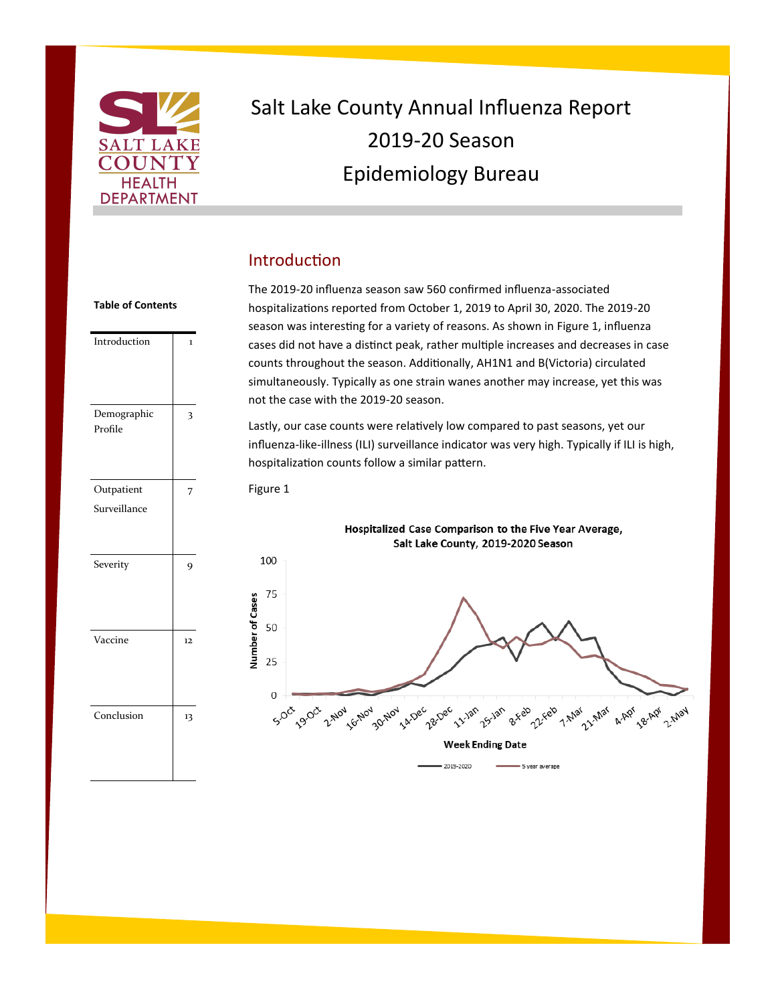

# Salt Lake County Annual Influenza Report 2019-20 Season Epidemiology Bureau

### Introduction

Introduction 1 Demographic Profile 3 **Outpatient** Surveillance 7 Severity 9 Vaccine 12 Conclusion 13

The 2019-20 influenza season saw 560 confirmed influenza-associated hospitalizations reported from October 1, 2019 to April 30, 2020. The 2019-20 season was interesting for a variety of reasons. As shown in Figure 1, influenza cases did not have a distinct peak, rather multiple increases and decreases in case counts throughout the season. Additionally, AH1N1 and B(Victoria) circulated simultaneously. Typically as one strain wanes another may increase, yet this was not the case with the 2019-20 season.

Lastly, our case counts were relatively low compared to past seasons, yet our influenza-like-illness (ILI) surveillance indicator was very high. Typically if ILI is high, hospitalization counts follow a similar pattern.



#### **Table of Contents**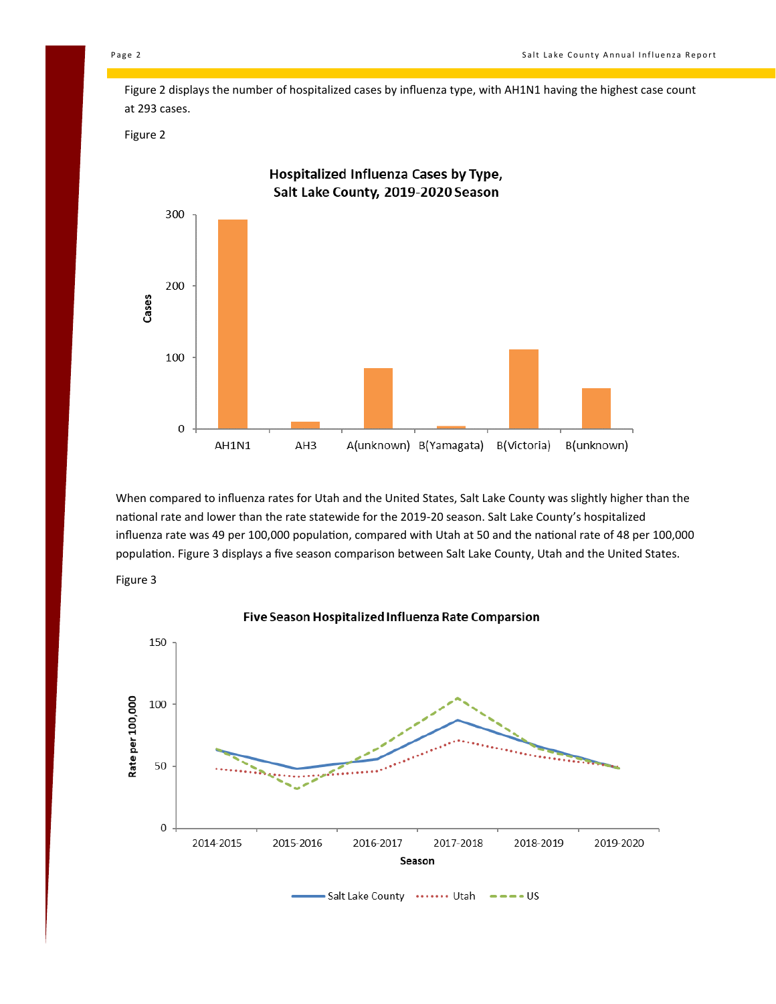Figure 2 displays the number of hospitalized cases by influenza type, with AH1N1 having the highest case count at 293 cases.

Figure 2



When compared to influenza rates for Utah and the United States, Salt Lake County was slightly higher than the national rate and lower than the rate statewide for the 2019-20 season. Salt Lake County's hospitalized influenza rate was 49 per 100,000 population, compared with Utah at 50 and the national rate of 48 per 100,000 population. Figure 3 displays a five season comparison between Salt Lake County, Utah and the United States.





Five Season Hospitalized Influenza Rate Comparsion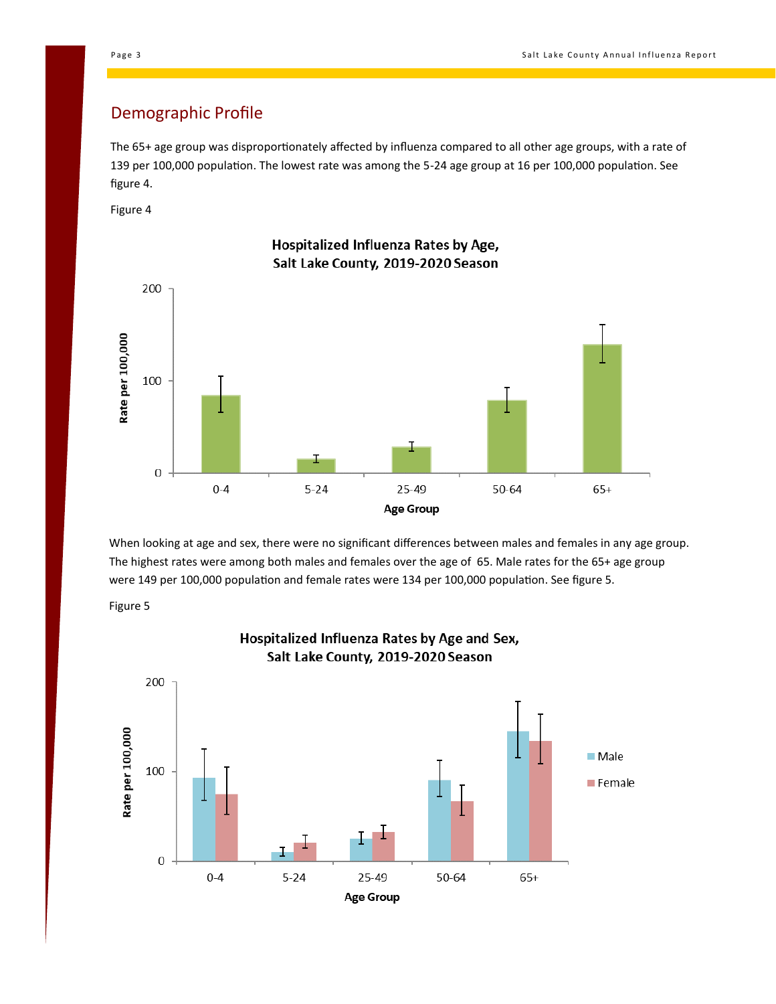#### Demographic Profile

The 65+ age group was disproportionately affected by influenza compared to all other age groups, with a rate of 139 per 100,000 population. The lowest rate was among the 5-24 age group at 16 per 100,000 population. See figure 4.

Figure 4



Hospitalized Influenza Rates by Age, Salt Lake County, 2019-2020 Season

When looking at age and sex, there were no significant differences between males and females in any age group. The highest rates were among both males and females over the age of 65. Male rates for the 65+ age group were 149 per 100,000 population and female rates were 134 per 100,000 population. See figure 5.



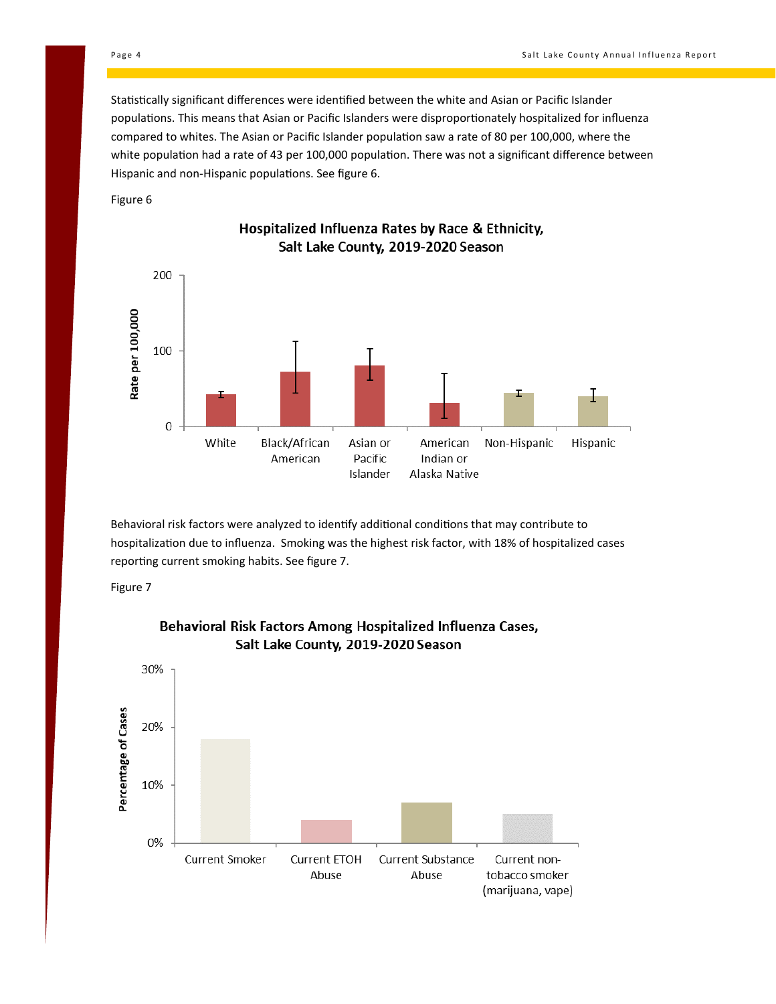Statistically significant differences were identified between the white and Asian or Pacific Islander populations. This means that Asian or Pacific Islanders were disproportionately hospitalized for influenza compared to whites. The Asian or Pacific Islander population saw a rate of 80 per 100,000, where the white population had a rate of 43 per 100,000 population. There was not a significant difference between Hispanic and non-Hispanic populations. See figure 6.

Figure 6



Hospitalized Influenza Rates by Race & Ethnicity, Salt Lake County, 2019-2020 Season

Behavioral risk factors were analyzed to identify additional conditions that may contribute to hospitalization due to influenza. Smoking was the highest risk factor, with 18% of hospitalized cases reporting current smoking habits. See figure 7.





#### Behavioral Risk Factors Among Hospitalized Influenza Cases, Salt Lake County, 2019-2020 Season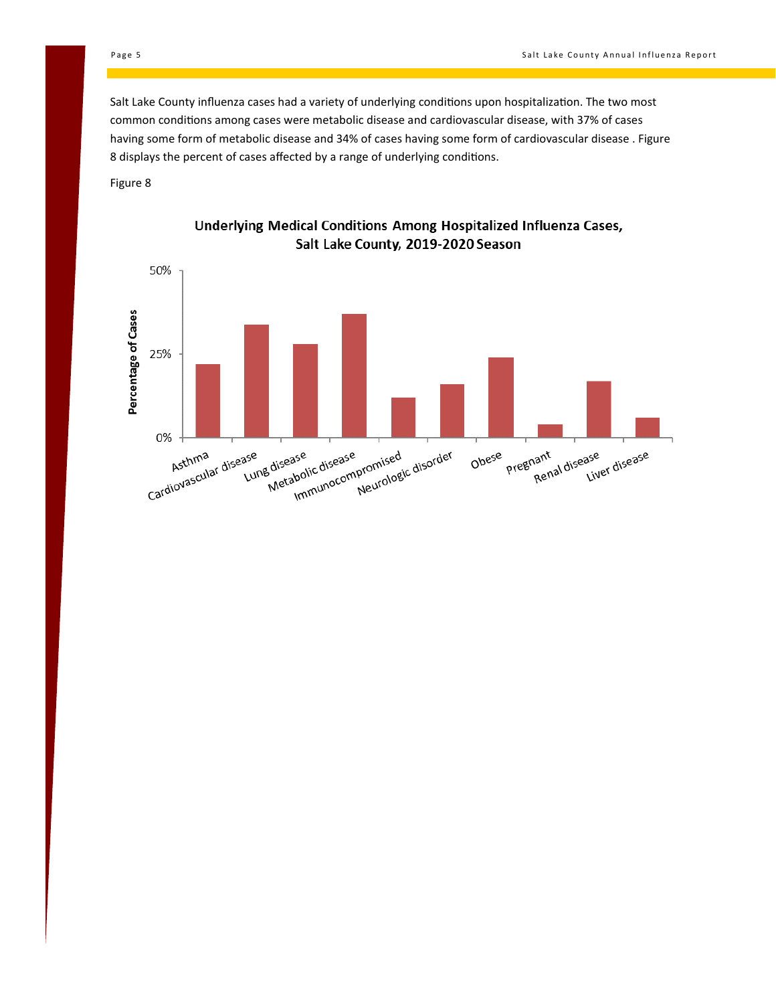Salt Lake County influenza cases had a variety of underlying conditions upon hospitalization. The two most common conditions among cases were metabolic disease and cardiovascular disease, with 37% of cases having some form of metabolic disease and 34% of cases having some form of cardiovascular disease . Figure 8 displays the percent of cases affected by a range of underlying conditions.

Figure 8



#### Underlying Medical Conditions Among Hospitalized Influenza Cases, Salt Lake County, 2019-2020 Season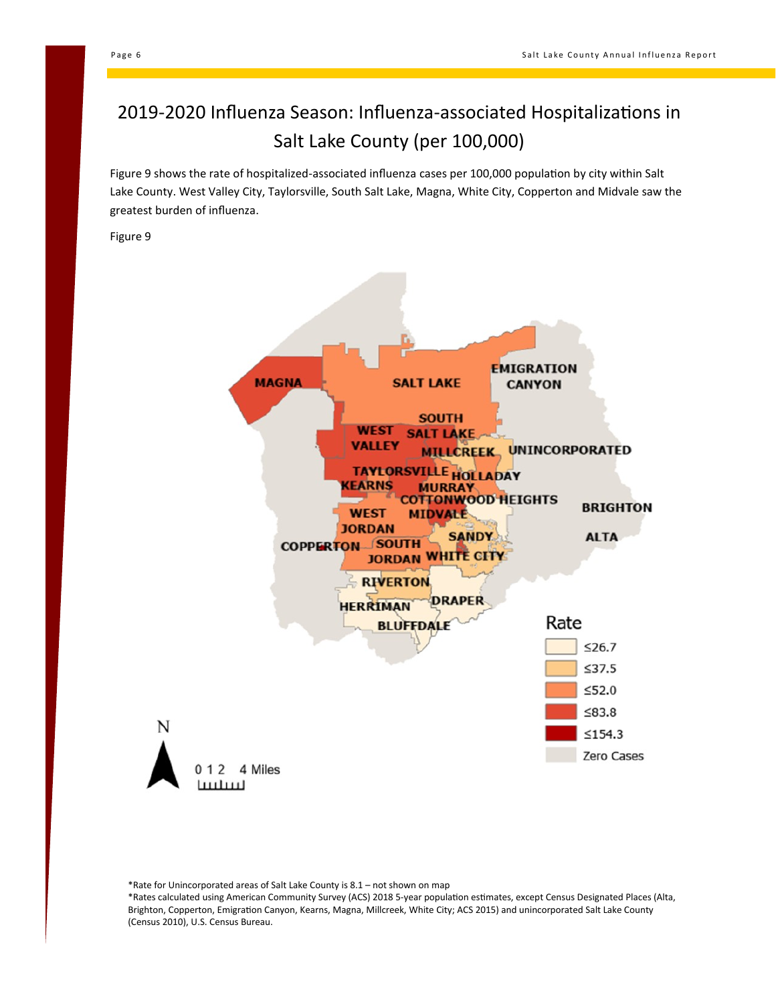## 2019-2020 Influenza Season: Influenza-associated Hospitalizations in Salt Lake County (per 100,000)

Figure 9 shows the rate of hospitalized-associated influenza cases per 100,000 population by city within Salt Lake County. West Valley City, Taylorsville, South Salt Lake, Magna, White City, Copperton and Midvale saw the greatest burden of influenza.

Figure 9



\*Rate for Unincorporated areas of Salt Lake County is 8.1 – not shown on map

\*Rates calculated using American Community Survey (ACS) 2018 5-year population estimates, except Census Designated Places (Alta, Brighton, Copperton, Emigration Canyon, Kearns, Magna, Millcreek, White City; ACS 2015) and unincorporated Salt Lake County (Census 2010), U.S. Census Bureau.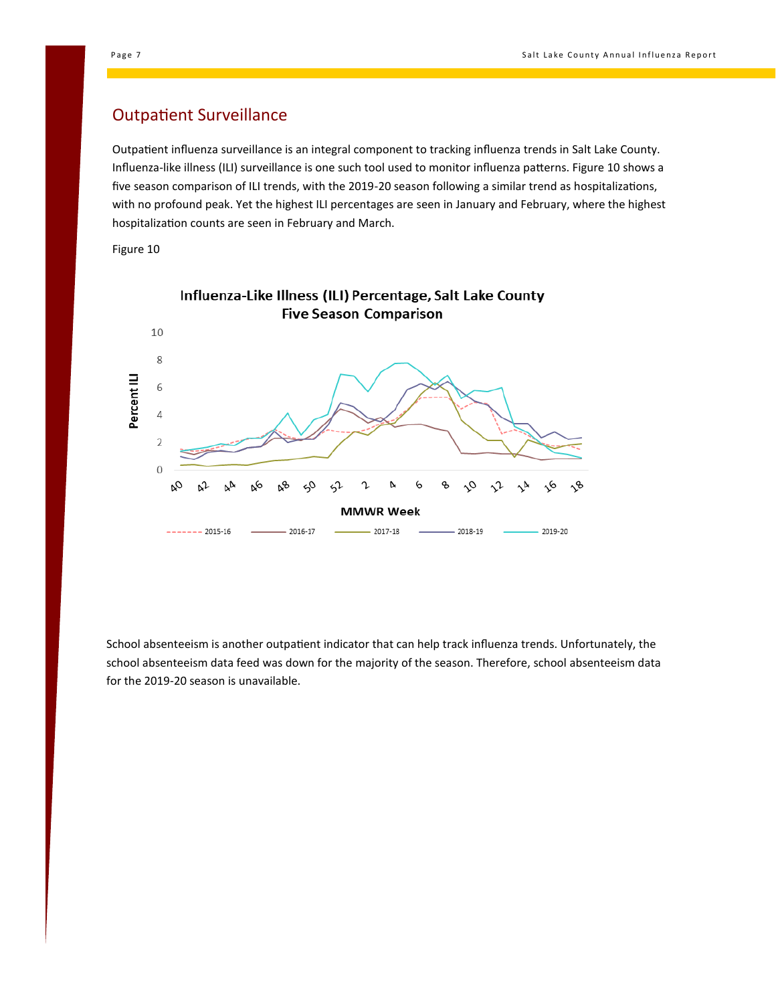#### Outpatient Surveillance

Outpatient influenza surveillance is an integral component to tracking influenza trends in Salt Lake County. Influenza-like illness (ILI) surveillance is one such tool used to monitor influenza patterns. Figure 10 shows a five season comparison of ILI trends, with the 2019-20 season following a similar trend as hospitalizations, with no profound peak. Yet the highest ILI percentages are seen in January and February, where the highest hospitalization counts are seen in February and March.

Figure 10



School absenteeism is another outpatient indicator that can help track influenza trends. Unfortunately, the school absenteeism data feed was down for the majority of the season. Therefore, school absenteeism data for the 2019-20 season is unavailable.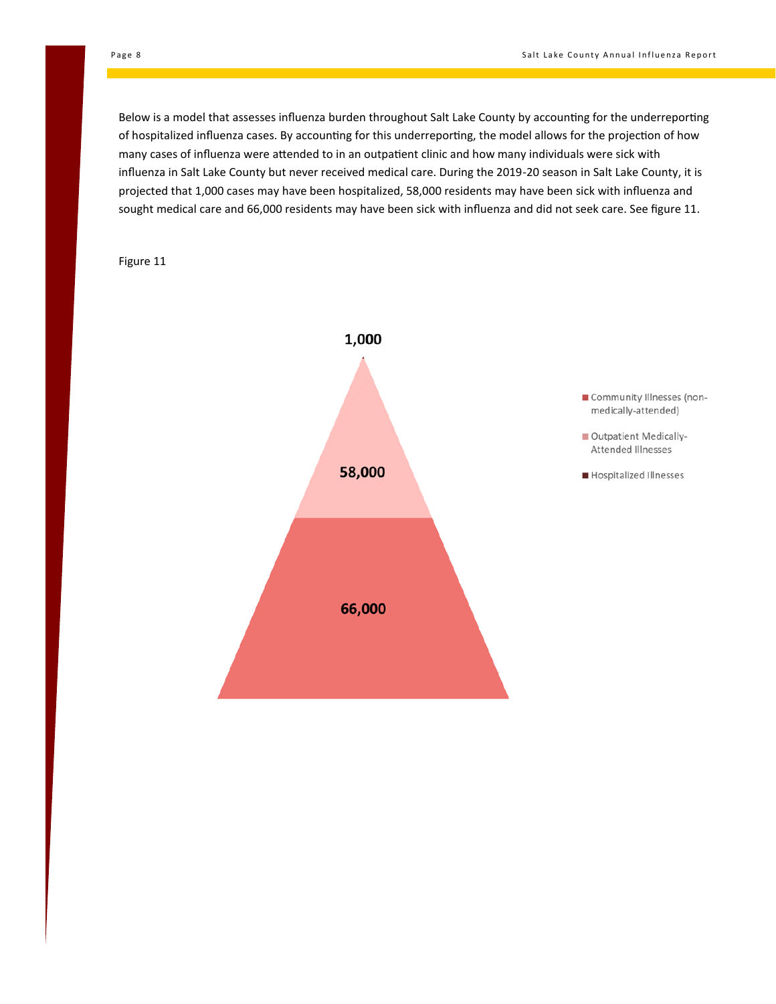Below is a model that assesses influenza burden throughout Salt Lake County by accounting for the underreporting of hospitalized influenza cases. By accounting for this underreporting, the model allows for the projection of how many cases of influenza were attended to in an outpatient clinic and how many individuals were sick with influenza in Salt Lake County but never received medical care. During the 2019-20 season in Salt Lake County, it is projected that 1,000 cases may have been hospitalized, 58,000 residents may have been sick with influenza and sought medical care and 66,000 residents may have been sick with influenza and did not seek care. See figure 11.

Figure 11

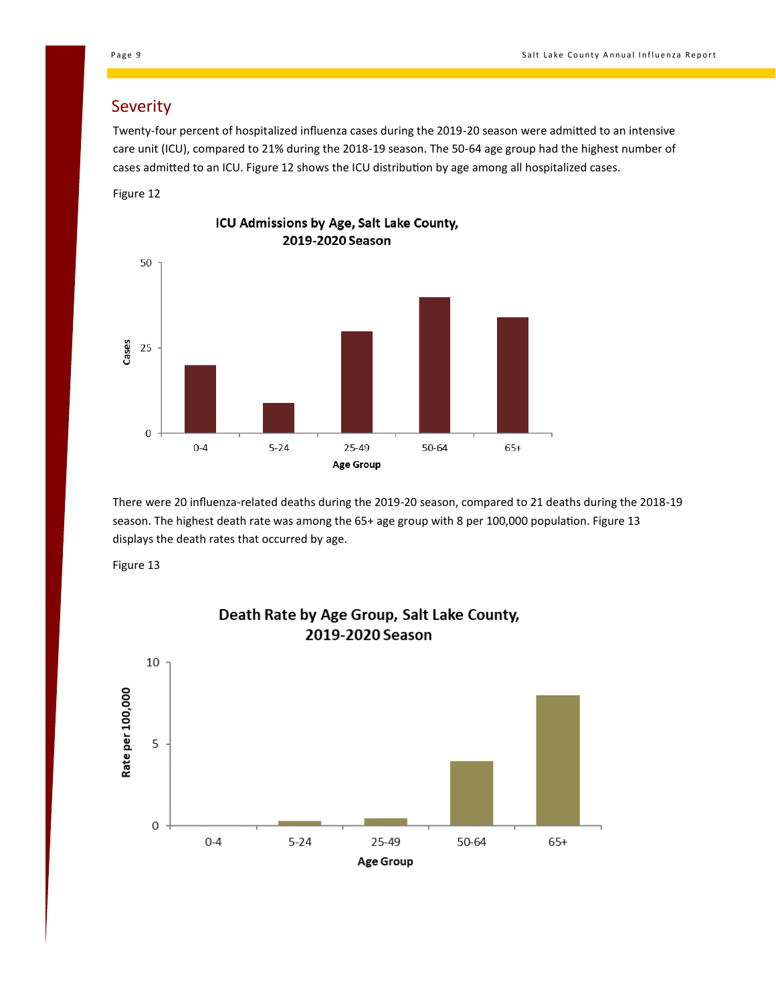### Severity

Twenty-four percent of hospitalized influenza cases during the 2019-20 season were admitted to an intensive care unit (ICU), compared to 21% during the 2018-19 season. The 50-64 age group had the highest number of cases admitted to an ICU. Figure 12 shows the ICU distribution by age among all hospitalized cases.

Figure 12



ICU Admissions by Age, Salt Lake County,

There were 20 influenza-related deaths during the 2019-20 season, compared to 21 deaths during the 2018-19

season. The highest death rate was among the 65+ age group with 8 per 100,000 population. Figure 13 displays the death rates that occurred by age.

Figure 13



# Death Rate by Age Group, Salt Lake County,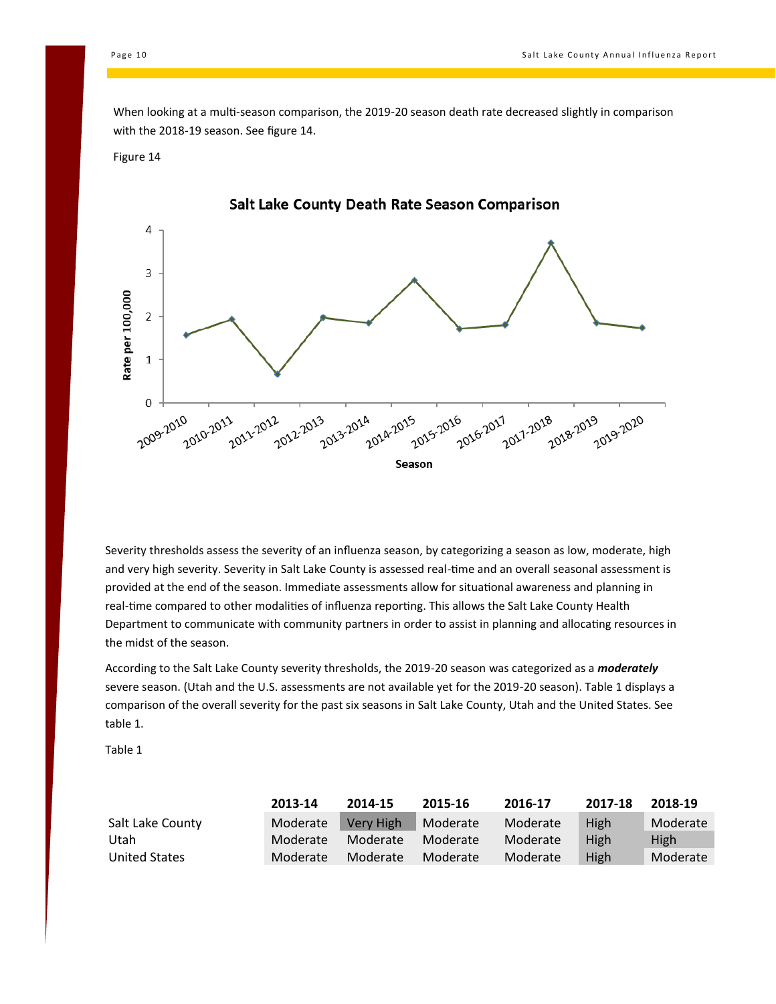When looking at a multi-season comparison, the 2019-20 season death rate decreased slightly in comparison with the 2018-19 season. See figure 14.

#### Figure 14



Severity thresholds assess the severity of an influenza season, by categorizing a season as low, moderate, high and very high severity. Severity in Salt Lake County is assessed real-time and an overall seasonal assessment is provided at the end of the season. Immediate assessments allow for situational awareness and planning in real-time compared to other modalities of influenza reporting. This allows the Salt Lake County Health Department to communicate with community partners in order to assist in planning and allocating resources in the midst of the season.

According to the Salt Lake County severity thresholds, the 2019-20 season was categorized as a *moderately* severe season. (Utah and the U.S. assessments are not available yet for the 2019-20 season). Table 1 displays a comparison of the overall severity for the past six seasons in Salt Lake County, Utah and the United States. See table 1.

Table 1

|                  | 2013-14  | 2014-15   | 2015-16  | 2016-17  | 2017-18     | 2018-19     |
|------------------|----------|-----------|----------|----------|-------------|-------------|
| Salt Lake County | Moderate | Very High | Moderate | Moderate | <b>High</b> | Moderate    |
| Utah             | Moderate | Moderate  | Moderate | Moderate | High        | <b>High</b> |
| United States    | Moderate | Moderate  | Moderate | Moderate | High        | Moderate    |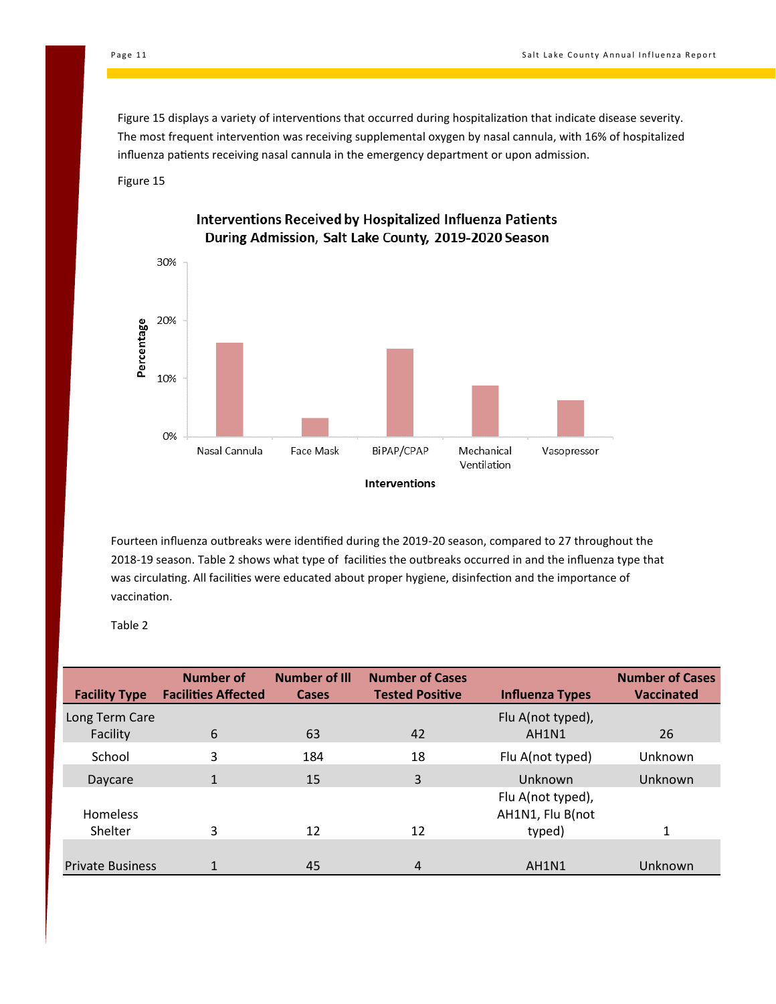Figure 15 displays a variety of interventions that occurred during hospitalization that indicate disease severity. The most frequent intervention was receiving supplemental oxygen by nasal cannula, with 16% of hospitalized influenza patients receiving nasal cannula in the emergency department or upon admission.





Interventions Received by Hospitalized Influenza Patients During Admission, Salt Lake County, 2019-2020 Season

Fourteen influenza outbreaks were identified during the 2019-20 season, compared to 27 throughout the 2018-19 season. Table 2 shows what type of facilities the outbreaks occurred in and the influenza type that was circulating. All facilities were educated about proper hygiene, disinfection and the importance of vaccination.

Table 2

| <b>Facility Type</b>    | Number of<br><b>Facilities Affected</b> | <b>Number of Ill</b><br><b>Cases</b> | <b>Number of Cases</b><br><b>Tested Positive</b> | <b>Influenza Types</b>                | <b>Number of Cases</b><br><b>Vaccinated</b> |
|-------------------------|-----------------------------------------|--------------------------------------|--------------------------------------------------|---------------------------------------|---------------------------------------------|
|                         |                                         |                                      |                                                  |                                       |                                             |
| Long Term Care          |                                         |                                      |                                                  | Flu A(not typed),                     |                                             |
| Facility                | 6                                       | 63                                   | 42                                               | AH1N1                                 | 26                                          |
| School                  | 3                                       | 184                                  | 18                                               | Flu A(not typed)                      | Unknown                                     |
| Daycare                 |                                         | 15                                   | 3                                                | Unknown                               | Unknown                                     |
| Homeless                |                                         |                                      |                                                  | Flu A(not typed),<br>AH1N1, Flu B(not |                                             |
| Shelter                 | 3                                       | 12                                   | 12                                               | typed)                                | 1                                           |
|                         |                                         |                                      |                                                  |                                       |                                             |
| <b>Private Business</b> |                                         | 45                                   | 4                                                | AH1N1                                 | Unknown                                     |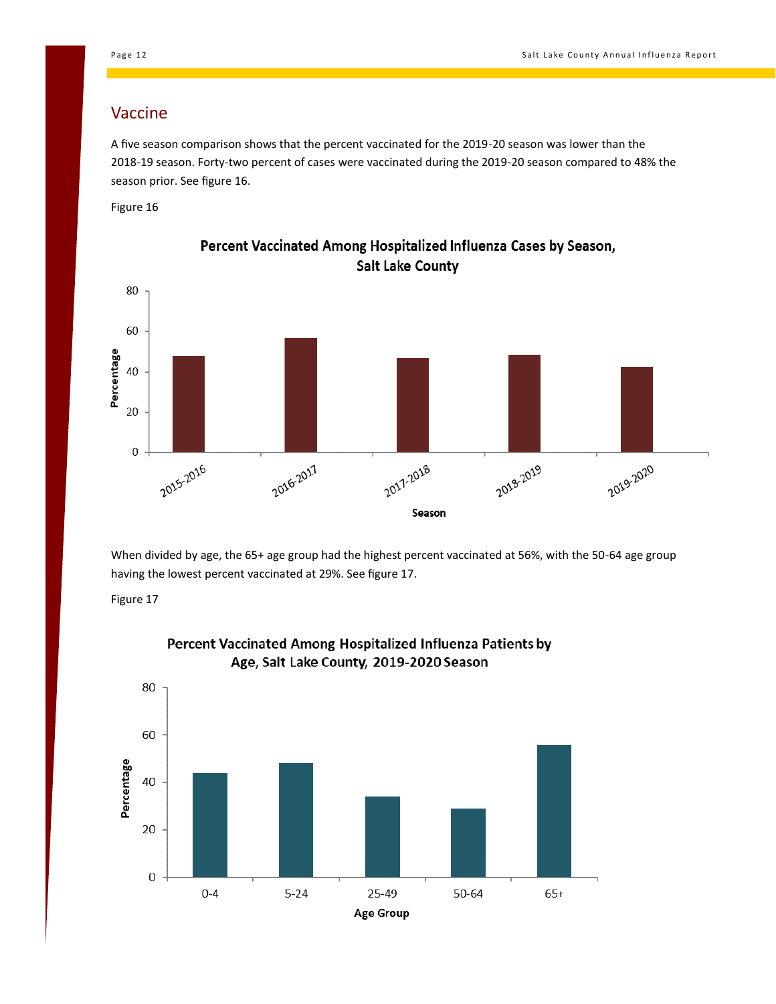#### Vaccine

A five season comparison shows that the percent vaccinated for the 2019-20 season was lower than the 2018-19 season. Forty-two percent of cases were vaccinated during the 2019-20 season compared to 48% the season prior. See figure 16.

Figure 16



Percent Vaccinated Among Hospitalized Influenza Cases by Season, **Salt Lake County** 

When divided by age, the 65+ age group had the highest percent vaccinated at 56%, with the 50-64 age group having the lowest percent vaccinated at 29%. See figure 17.